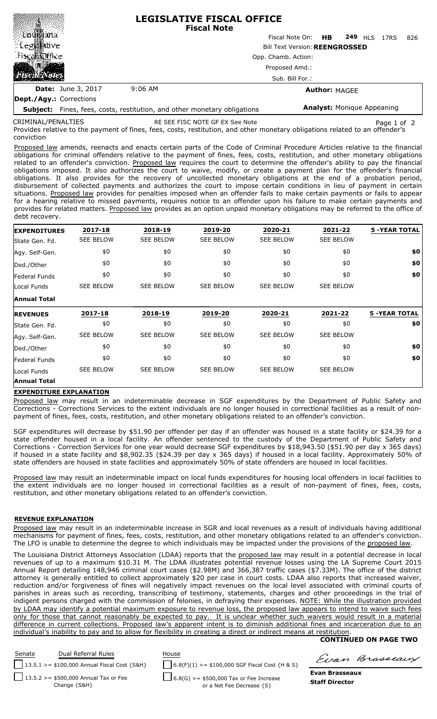|                                                                                                                                                                         |                                       | <b>LEGISLATIVE FISCAL OFFICE</b><br><b>Fiscal Note</b> |  |  |  |  |  |
|-------------------------------------------------------------------------------------------------------------------------------------------------------------------------|---------------------------------------|--------------------------------------------------------|--|--|--|--|--|
|                                                                                                                                                                         |                                       | Fiscal Note On: HB 249 HLS 17RS<br>826                 |  |  |  |  |  |
| $\frac{1}{2}$ $\frac{1}{2}$ $\frac{1}{2}$ $\frac{1}{2}$ $\frac{1}{2}$ $\frac{1}{2}$ $\frac{1}{2}$ $\frac{1}{2}$ $\frac{1}{2}$ $\frac{1}{2}$ $\frac{1}{2}$ $\frac{1}{2}$ | <b>Bill Text Version: REENGROSSED</b> |                                                        |  |  |  |  |  |
| Fiscal@ffice                                                                                                                                                            | Opp. Chamb. Action:                   |                                                        |  |  |  |  |  |
| فلفظ                                                                                                                                                                    | Proposed Amd.:<br>Sub. Bill For.:     |                                                        |  |  |  |  |  |
|                                                                                                                                                                         |                                       |                                                        |  |  |  |  |  |
| <b>Date:</b> June 3, 2017                                                                                                                                               | $9:06$ AM                             | <b>Author: MAGEE</b>                                   |  |  |  |  |  |
| Dept./Agy.: Corrections                                                                                                                                                 |                                       |                                                        |  |  |  |  |  |

**Subject:** Fines, fees, costs, restitution, and other monetary obligations related to an offender's conviction CRIMINAL/PENALTIES

RE SEE FISC NOTE GF EX See Note Page 1 of 2

**Analyst:** Monique Appeaning

Provides relative to the payment of fines, fees, costs, restitution, and other monetary obligations related to an offender's conviction

Proposed law amends, reenacts and enacts certain parts of the Code of Criminal Procedure Articles relative to the financial obligations for criminal offenders relative to the payment of fines, fees, costs, restitution, and other monetary obligations related to an offender's conviction. Proposed law requires the court to determine the offender's ability to pay the financial obligations imposed. It also authorizes the court to waive, modify, or create a payment plan for the offender's financial obligations. It also provides for the recovery of uncollected monetary obligations at the end of a probation period, disbursement of collected payments and authorizes the court to impose certain conditions in lieu of payment in certain situations. Proposed law provides for penalties imposed when an offender fails to make certain payments or fails to appear for a hearing relative to missed payments, requires notice to an offender upon his failure to make certain payments and provides for related matters. Proposed law provides as an option unpaid monetary obligations may be referred to the office of debt recovery.

| <b>EXPENDITURES</b> | 2017-18          | 2018-19          | 2019-20          | 2020-21          | 2021-22          | <b>5 -YEAR TOTAL</b> |
|---------------------|------------------|------------------|------------------|------------------|------------------|----------------------|
| State Gen. Fd.      | <b>SEE BELOW</b> | <b>SEE BELOW</b> | <b>SEE BELOW</b> | <b>SEE BELOW</b> | <b>SEE BELOW</b> |                      |
| Agy. Self-Gen.      | \$0              | \$0              | \$0              | \$0              | \$0              | \$0                  |
| Ded./Other          | \$0              | \$0              | \$0              | \$0              | \$0              | \$0                  |
| Federal Funds       | \$0              | \$0              | \$0              | \$0              | \$0              | \$0                  |
| Local Funds         | <b>SEE BELOW</b> | <b>SEE BELOW</b> | <b>SEE BELOW</b> | <b>SEE BELOW</b> | <b>SEE BELOW</b> |                      |
| <b>Annual Total</b> |                  |                  |                  |                  |                  |                      |
|                     |                  |                  |                  |                  |                  |                      |
| <b>REVENUES</b>     | 2017-18          | 2018-19          | 2019-20          | 2020-21          | 2021-22          | <b>5 -YEAR TOTAL</b> |
| State Gen. Fd.      | \$0              | \$0              | \$0              | \$0              | \$0              | \$0                  |
| Agy. Self-Gen.      | <b>SEE BELOW</b> | <b>SEE BELOW</b> | <b>SEE BELOW</b> | <b>SEE BELOW</b> | <b>SEE BELOW</b> |                      |
| Ded./Other          | \$0              | \$0              | \$0              | \$0              | \$0              | \$0                  |
| Federal Funds       | \$0              | \$0              | \$0              | \$0              | \$0              | \$0                  |
| Local Funds         | <b>SEE BELOW</b> | <b>SEE BELOW</b> | <b>SEE BELOW</b> | <b>SEE BELOW</b> | <b>SEE BELOW</b> |                      |

## **EXPENDITURE EXPLANATION**

Proposed law may result in an indeterminable decrease in SGF expenditures by the Department of Public Safety and Corrections - Corrections Services to the extent individuals are no longer housed in correctional facilities as a result of nonpayment of fines, fees, costs, restitution, and other monetary obligations related to an offender's conviction.

SGF expenditures will decrease by \$51.90 per offender per day if an offender was housed in a state facility or \$24.39 for a state offender housed in a local facility. An offender sentenced to the custody of the Department of Public Safety and Corrections - Correction Services for one year would decrease SGF expenditures by \$18,943.50 (\$51.90 per day x 365 days) if housed in a state facility and \$8,902.35 (\$24.39 per day x 365 days) if housed in a local facility. Approximately 50% of state offenders are housed in state facilities and approximately 50% of state offenders are housed in local facilities.

Proposed law may result an indeterminable impact on local funds expenditures for housing local offenders in local facilities to the extent individuals are no longer housed in correctional facilities as a result of non-payment of fines, fees, costs, restitution, and other monetary obligations related to an offender's conviction.

## **REVENUE EXPLANATION**

Proposed law may result in an indeterminable increase in SGR and local revenues as a result of individuals having additional mechanisms for payment of fines, fees, costs, restitution, and other monetary obligations related to an offender's conviction. The LFO is unable to determine the degree to which individuals may be impacted under the provisions of the proposed law.

The Louisiana District Attorneys Association (LDAA) reports that the proposed law may result in a potential decrease in local revenues of up to a maximum \$10.31 M. The LDAA illustrates potential revenue losses using the LA Supreme Court 2015 Annual Report detailing 148,946 criminal court cases (\$2.98M) and 366,387 traffic cases (\$7.33M). The office of the district attorney is generally entitled to collect approximately \$20 per case in court costs. LDAA also reports that increased waiver reduction and/or forgiveness of fines will negatively impact revenues on the local level associated with criminal courts of parishes in areas such as recording, transcribing of testimony, statements, charges and other proceedings in the trial of indigent persons charged with the commission of felonies, in defraying their expenses. NOTE: While the illustration provided by LDAA may identify a potential maximum exposure to revenue loss, the proposed law appears to intend to waive such fees only for those that cannot reasonably be expected to pay. It is unclear whether such waivers would result in a material difference in current collections. Proposed law's apparent intent is to diminish additional fines and incarceration due to an individual's inability to pay and to allow for flexibility in creating a direct or indirect means at restitution.

## **CONTINUED ON PAGE TWO**



Evan Brasseaux

**Evan Brasseaux Staff Director**